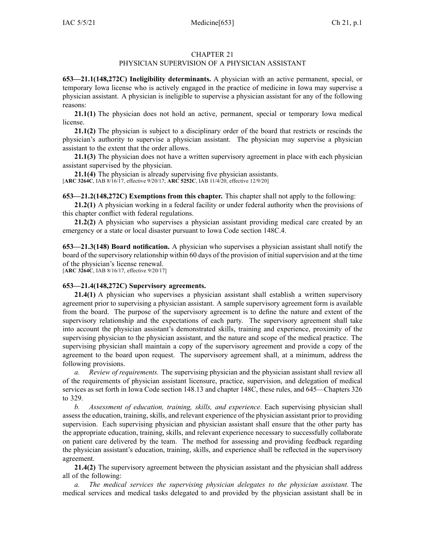## CHAPTER 21

## PHYSICIAN SUPERVISION OF A PHYSICIAN ASSISTANT

**653—21.1(148,272C) Ineligibility determinants.** A physician with an active permanent, special, or temporary Iowa license who is actively engaged in the practice of medicine in Iowa may supervise <sup>a</sup> physician assistant. A physician is ineligible to supervise <sup>a</sup> physician assistant for any of the following reasons:

**21.1(1)** The physician does not hold an active, permanent, special or temporary Iowa medical license.

**21.1(2)** The physician is subject to <sup>a</sup> disciplinary order of the board that restricts or rescinds the physician's authority to supervise <sup>a</sup> physician assistant. The physician may supervise <sup>a</sup> physician assistant to the extent that the order allows.

**21.1(3)** The physician does not have <sup>a</sup> written supervisory agreemen<sup>t</sup> in place with each physician assistant supervised by the physician.

**21.1(4)** The physician is already supervising five physician assistants. [**ARC [3264C](https://www.legis.iowa.gov/docs/aco/arc/3264C.pdf)**, IAB 8/16/17, effective 9/20/17; **ARC [5252C](https://www.legis.iowa.gov/docs/aco/arc/5252C.pdf)**, IAB 11/4/20, effective 12/9/20]

**653—21.2(148,272C) Exemptions from this chapter.** This chapter shall not apply to the following:

**21.2(1)** A physician working in <sup>a</sup> federal facility or under federal authority when the provisions of this chapter conflict with federal regulations.

**21.2(2)** A physician who supervises <sup>a</sup> physician assistant providing medical care created by an emergency or <sup>a</sup> state or local disaster pursuan<sup>t</sup> to Iowa Code section [148C.4](https://www.legis.iowa.gov/docs/ico/section/148C.4.pdf).

**653—21.3(148) Board notification.** A physician who supervises <sup>a</sup> physician assistant shall notify the board of the supervisory relationship within 60 days of the provision of initial supervision and at the time of the physician's license renewal.

[**ARC [3264C](https://www.legis.iowa.gov/docs/aco/arc/3264C.pdf)**, IAB 8/16/17, effective 9/20/17]

## **653—21.4(148,272C) Supervisory agreements.**

**21.4(1)** A physician who supervises <sup>a</sup> physician assistant shall establish <sup>a</sup> written supervisory agreemen<sup>t</sup> prior to supervising <sup>a</sup> physician assistant. A sample supervisory agreemen<sup>t</sup> form is available from the board. The purpose of the supervisory agreemen<sup>t</sup> is to define the nature and extent of the supervisory relationship and the expectations of each party. The supervisory agreemen<sup>t</sup> shall take into account the physician assistant's demonstrated skills, training and experience, proximity of the supervising physician to the physician assistant, and the nature and scope of the medical practice. The supervising physician shall maintain <sup>a</sup> copy of the supervisory agreemen<sup>t</sup> and provide <sup>a</sup> copy of the agreemen<sup>t</sup> to the board upon request. The supervisory agreemen<sup>t</sup> shall, at <sup>a</sup> minimum, address the following provisions.

*a. Review of requirements.* The supervising physician and the physician assistant shall review all of the requirements of physician assistant licensure, practice, supervision, and delegation of medical services as set forth in Iowa Code section [148.13](https://www.legis.iowa.gov/docs/ico/section/2017/148.13.pdf) and chapter [148C](https://www.legis.iowa.gov/docs/ico/chapter/2017/148C.pdf), these rules, and 645—Chapters 326 to 329.

*b. Assessment of education, training, skills, and experience.* Each supervising physician shall assess the education, training, skills, and relevant experience of the physician assistant prior to providing supervision. Each supervising physician and physician assistant shall ensure that the other party has the appropriate education, training, skills, and relevant experience necessary to successfully collaborate on patient care delivered by the team. The method for assessing and providing feedback regarding the physician assistant's education, training, skills, and experience shall be reflected in the supervisory agreement.

**21.4(2)** The supervisory agreemen<sup>t</sup> between the physician assistant and the physician shall address all of the following:

*a. The medical services the supervising physician delegates to the physician assistant.* The medical services and medical tasks delegated to and provided by the physician assistant shall be in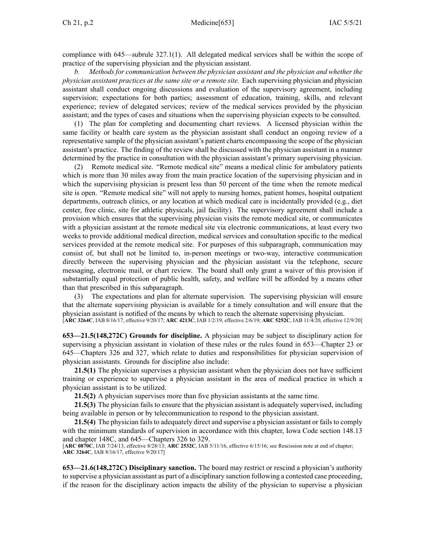compliance with [645—subrule](https://www.legis.iowa.gov/docs/iac/rule/645.327.1.pdf) 327.1(1). All delegated medical services shall be within the scope of practice of the supervising physician and the physician assistant.

*b. Methods for communication between the physician assistant and the physician and whether the physician assistant practices at the same site or <sup>a</sup> remote site.* Each supervising physician and physician assistant shall conduct ongoing discussions and evaluation of the supervisory agreement, including supervision; expectations for both parties; assessment of education, training, skills, and relevant experience; review of delegated services; review of the medical services provided by the physician assistant; and the types of cases and situations when the supervising physician expects to be consulted.

(1) The plan for completing and documenting chart reviews. A licensed physician within the same facility or health care system as the physician assistant shall conduct an ongoing review of <sup>a</sup> representative sample of the physician assistant's patient charts encompassing the scope of the physician assistant's practice. The finding of the review shall be discussed with the physician assistant in <sup>a</sup> manner determined by the practice in consultation with the physician assistant's primary supervising physician.

(2) Remote medical site. "Remote medical site" means <sup>a</sup> medical clinic for ambulatory patients which is more than 30 miles away from the main practice location of the supervising physician and in which the supervising physician is presen<sup>t</sup> less than 50 percen<sup>t</sup> of the time when the remote medical site is open. "Remote medical site" will not apply to nursing homes, patient homes, hospital outpatient departments, outreach clinics, or any location at which medical care is incidentally provided (e.g., diet center, free clinic, site for athletic physicals, jail facility). The supervisory agreemen<sup>t</sup> shall include <sup>a</sup> provision which ensures that the supervising physician visits the remote medical site, or communicates with <sup>a</sup> physician assistant at the remote medical site via electronic communications, at least every two weeks to provide additional medical direction, medical services and consultation specific to the medical services provided at the remote medical site. For purposes of this subparagraph, communication may consist of, but shall not be limited to, in-person meetings or two-way, interactive communication directly between the supervising physician and the physician assistant via the telephone, secure messaging, electronic mail, or chart review. The board shall only gran<sup>t</sup> <sup>a</sup> waiver of this provision if substantially equal protection of public health, safety, and welfare will be afforded by <sup>a</sup> means other than that prescribed in this subparagraph.

(3) The expectations and plan for alternate supervision. The supervising physician will ensure that the alternate supervising physician is available for <sup>a</sup> timely consultation and will ensure that the physician assistant is notified of the means by which to reach the alternate supervising physician. [**ARC [3264C](https://www.legis.iowa.gov/docs/aco/arc/3264C.pdf)**, IAB 8/16/17, effective 9/20/17; **ARC [4213C](https://www.legis.iowa.gov/docs/aco/arc/4213C.pdf)**, IAB 1/2/19, effective 2/6/19; **ARC [5252C](https://www.legis.iowa.gov/docs/aco/arc/5252C.pdf)**, IAB 11/4/20, effective 12/9/20]

**653—21.5(148,272C) Grounds for discipline.** A physician may be subject to disciplinary action for supervising <sup>a</sup> physician assistant in violation of these rules or the rules found in [653—Chapter](https://www.legis.iowa.gov/docs/iac/chapter/653.23.pdf) 23 or [645—Chapters](https://www.legis.iowa.gov/docs/iac/chapter/645.326.pdf) 326 and [327](https://www.legis.iowa.gov/docs/iac/chapter/645.327.pdf), which relate to duties and responsibilities for physician supervision of physician assistants. Grounds for discipline also include:

**21.5(1)** The physician supervises a physician assistant when the physician does not have sufficient training or experience to supervise <sup>a</sup> physician assistant in the area of medical practice in which <sup>a</sup> physician assistant is to be utilized.

**21.5(2)** A physician supervises more than five physician assistants at the same time.

**21.5(3)** The physician fails to ensure that the physician assistant is adequately supervised, including being available in person or by telecommunication to respond to the physician assistant.

**21.5(4)** The physician fails to adequately direct and supervise a physician assistant or fails to comply with the minimum standards of supervision in accordance with this chapter, Iowa Code section [148.13](https://www.legis.iowa.gov/docs/ico/section/2017/148.13.pdf) and chapter [148C](https://www.legis.iowa.gov/docs/ico/chapter/2017/148C.pdf), and 645—Chapters 326 to 329.

[**ARC [0870C](https://www.legis.iowa.gov/docs/aco/arc/0870C.pdf)**, IAB 7/24/13, effective 8/28/13; **ARC [2532C](https://www.legis.iowa.gov/docs/aco/arc/2532C.pdf)**, IAB 5/11/16, effective 6/15/16; see Rescission note at end of chapter; **ARC [3264C](https://www.legis.iowa.gov/docs/aco/arc/3264C.pdf)**, IAB 8/16/17, effective 9/20/17]

**653—21.6(148,272C) Disciplinary sanction.** The board may restrict or rescind <sup>a</sup> physician's authority to supervise <sup>a</sup> physician assistant as par<sup>t</sup> of <sup>a</sup> disciplinary sanction following <sup>a</sup> contested case proceeding, if the reason for the disciplinary action impacts the ability of the physician to supervise <sup>a</sup> physician